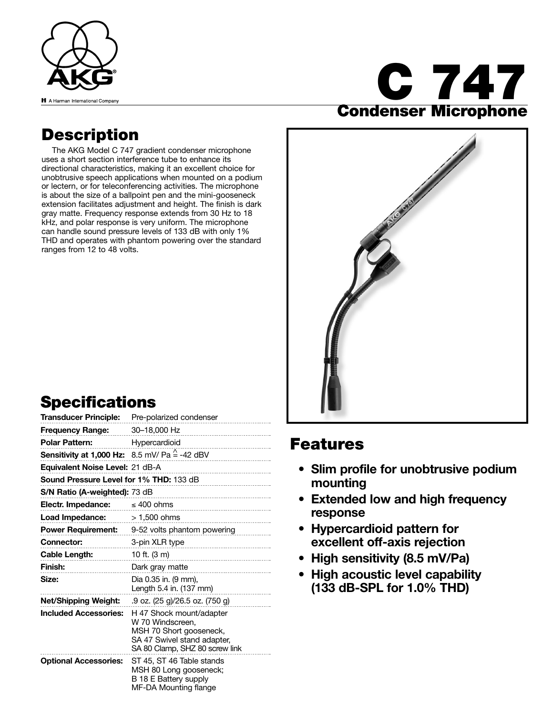

# **C 747 Condenser Microphone**

### **Description**

The AKG Model C 747 gradient condenser microphone uses a short section interference tube to enhance its directional characteristics, making it an excellent choice for unobtrusive speech applications when mounted on a podium or lectern, or for teleconferencing activities. The microphone is about the size of a ballpoint pen and the mini-gooseneck extension facilitates adjustment and height. The finish is dark gray matte. Frequency response extends from 30 Hz to 18 kHz, and polar response is very uniform. The microphone can handle sound pressure levels of 133 dB with only 1% THD and operates with phantom powering over the standard ranges from 12 to 48 volts.

## **Specifications**

|                                                | Transducer Principle: Pre-polarized condenser                                                                                            |
|------------------------------------------------|------------------------------------------------------------------------------------------------------------------------------------------|
| Frequency Range: 30-18,000 Hz                  | -------------------------------                                                                                                          |
| <b>Polar Pattern:</b> Hypercardioid            |                                                                                                                                          |
|                                                | <b>Sensitivity at 1,000 Hz:</b> 8.5 mV/ Pa $\stackrel{\wedge}{=}$ -42 dBV                                                                |
| Equivalent Noise Level: 21 dB-A                | --------------------------------                                                                                                         |
| <b>Sound Pressure Level for 1% THD: 133 dB</b> |                                                                                                                                          |
| S/N Ratio (A-weighted): 73 dB                  |                                                                                                                                          |
| Electr. Impedance:                             | $\leq 400$ ohms                                                                                                                          |
| <b>Load Impedance:</b> $> 1,500$ ohms          | ----------------------------                                                                                                             |
|                                                | Power Requirement: 9-52 volts phantom powering                                                                                           |
| <b>Connector:</b>                              | 3-pin XLR type<br>---------------------------------                                                                                      |
| <b>Cable Length:</b>                           | 10 ft. $(3 \text{ m})$                                                                                                                   |
| Finish:                                        | Dark gray matte                                                                                                                          |
| Size:                                          | Dia 0.35 in. (9 mm),<br>Length 5.4 in. (137 mm)                                                                                          |
| Net/Shipping Weight:                           | .9 oz. (25 g)/26.5 oz. (750 g)                                                                                                           |
| <b>Included Accessories:</b>                   | H 47 Shock mount/adapter<br>W 70 Windscreen.<br>MSH 70 Short gooseneck,<br>SA 47 Swivel stand adapter,<br>SA 80 Clamp, SHZ 80 screw link |
| <b>Optional Accessories:</b>                   | ST 45, ST 46 Table stands<br>MSH 80 Long gooseneck;<br>B 18 E Battery supply<br>MF-DA Mounting flange                                    |



#### **Features**

- **Slim profile for unobtrusive podium mounting**
- **Extended low and high frequency response**
- **Hypercardioid pattern for excellent off-axis rejection**
- **High sensitivity (8.5 mV/Pa)**
- **High acoustic level capability (133 dB-SPL for 1.0% THD)**